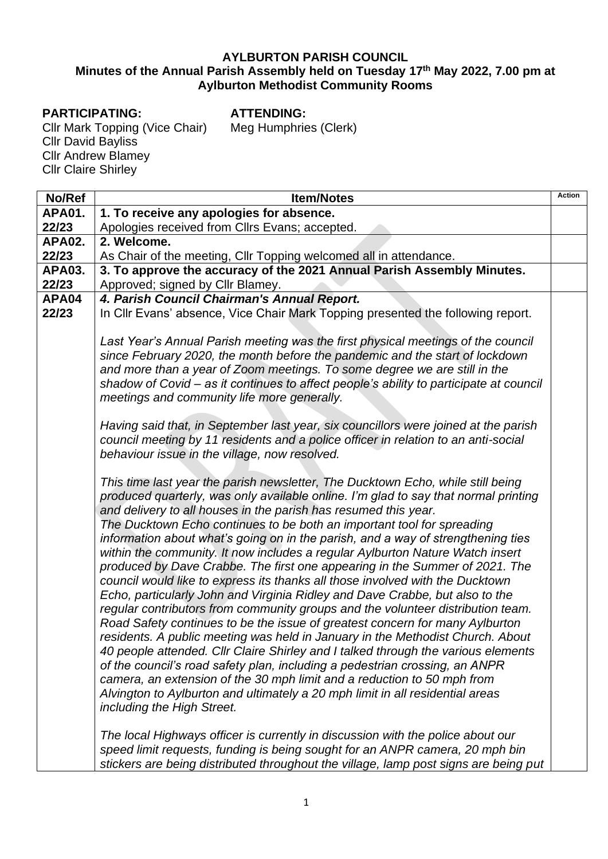#### **AYLBURTON PARISH COUNCIL Minutes of the Annual Parish Assembly held on Tuesday 17 th May 2022, 7.00 pm at Aylburton Methodist Community Rooms**

#### **PARTICIPATING:**

**ATTENDING:**

Meg Humphries (Clerk)

Cllr Mark Topping (Vice Chair) Cllr David Bayliss Cllr Andrew Blamey Cllr Claire Shirley

| No/Ref         | <b>Item/Notes</b>                                                                                                                                                                                                                                                                                                                                                                                                                                                                                                                                                                                                                                                                                                                                                                                                                                                                                                                                                                                                                                                                                                                                                                                                                                                                                                                                           | <b>Action</b> |
|----------------|-------------------------------------------------------------------------------------------------------------------------------------------------------------------------------------------------------------------------------------------------------------------------------------------------------------------------------------------------------------------------------------------------------------------------------------------------------------------------------------------------------------------------------------------------------------------------------------------------------------------------------------------------------------------------------------------------------------------------------------------------------------------------------------------------------------------------------------------------------------------------------------------------------------------------------------------------------------------------------------------------------------------------------------------------------------------------------------------------------------------------------------------------------------------------------------------------------------------------------------------------------------------------------------------------------------------------------------------------------------|---------------|
| <b>APA01.</b>  | 1. To receive any apologies for absence.                                                                                                                                                                                                                                                                                                                                                                                                                                                                                                                                                                                                                                                                                                                                                                                                                                                                                                                                                                                                                                                                                                                                                                                                                                                                                                                    |               |
| 22/23          | Apologies received from Cllrs Evans; accepted.                                                                                                                                                                                                                                                                                                                                                                                                                                                                                                                                                                                                                                                                                                                                                                                                                                                                                                                                                                                                                                                                                                                                                                                                                                                                                                              |               |
| <b>APA02.</b>  | 2. Welcome.                                                                                                                                                                                                                                                                                                                                                                                                                                                                                                                                                                                                                                                                                                                                                                                                                                                                                                                                                                                                                                                                                                                                                                                                                                                                                                                                                 |               |
| 22/23          | As Chair of the meeting, Cllr Topping welcomed all in attendance.                                                                                                                                                                                                                                                                                                                                                                                                                                                                                                                                                                                                                                                                                                                                                                                                                                                                                                                                                                                                                                                                                                                                                                                                                                                                                           |               |
| <b>APA03.</b>  | 3. To approve the accuracy of the 2021 Annual Parish Assembly Minutes.                                                                                                                                                                                                                                                                                                                                                                                                                                                                                                                                                                                                                                                                                                                                                                                                                                                                                                                                                                                                                                                                                                                                                                                                                                                                                      |               |
| 22/23          | Approved; signed by Cllr Blamey.                                                                                                                                                                                                                                                                                                                                                                                                                                                                                                                                                                                                                                                                                                                                                                                                                                                                                                                                                                                                                                                                                                                                                                                                                                                                                                                            |               |
| APA04<br>22/23 | 4. Parish Council Chairman's Annual Report.<br>In Cllr Evans' absence, Vice Chair Mark Topping presented the following report.                                                                                                                                                                                                                                                                                                                                                                                                                                                                                                                                                                                                                                                                                                                                                                                                                                                                                                                                                                                                                                                                                                                                                                                                                              |               |
|                | Last Year's Annual Parish meeting was the first physical meetings of the council<br>since February 2020, the month before the pandemic and the start of lockdown<br>and more than a year of Zoom meetings. To some degree we are still in the<br>shadow of Covid - as it continues to affect people's ability to participate at council<br>meetings and community life more generally.                                                                                                                                                                                                                                                                                                                                                                                                                                                                                                                                                                                                                                                                                                                                                                                                                                                                                                                                                                      |               |
|                | Having said that, in September last year, six councillors were joined at the parish<br>council meeting by 11 residents and a police officer in relation to an anti-social<br>behaviour issue in the village, now resolved.                                                                                                                                                                                                                                                                                                                                                                                                                                                                                                                                                                                                                                                                                                                                                                                                                                                                                                                                                                                                                                                                                                                                  |               |
|                | This time last year the parish newsletter, The Ducktown Echo, while still being<br>produced quarterly, was only available online. I'm glad to say that normal printing<br>and delivery to all houses in the parish has resumed this year.<br>The Ducktown Echo continues to be both an important tool for spreading<br>information about what's going on in the parish, and a way of strengthening ties<br>within the community. It now includes a regular Aylburton Nature Watch insert<br>produced by Dave Crabbe. The first one appearing in the Summer of 2021. The<br>council would like to express its thanks all those involved with the Ducktown<br>Echo, particularly John and Virginia Ridley and Dave Crabbe, but also to the<br>regular contributors from community groups and the volunteer distribution team.<br>Road Safety continues to be the issue of greatest concern for many Aylburton<br>residents. A public meeting was held in January in the Methodist Church. About<br>40 people attended. Cllr Claire Shirley and I talked through the various elements<br>of the council's road safety plan, including a pedestrian crossing, an ANPR<br>camera, an extension of the 30 mph limit and a reduction to 50 mph from<br>Alvington to Aylburton and ultimately a 20 mph limit in all residential areas<br>including the High Street. |               |
|                | The local Highways officer is currently in discussion with the police about our<br>speed limit requests, funding is being sought for an ANPR camera, 20 mph bin                                                                                                                                                                                                                                                                                                                                                                                                                                                                                                                                                                                                                                                                                                                                                                                                                                                                                                                                                                                                                                                                                                                                                                                             |               |

*stickers are being distributed throughout the village, lamp post signs are being put*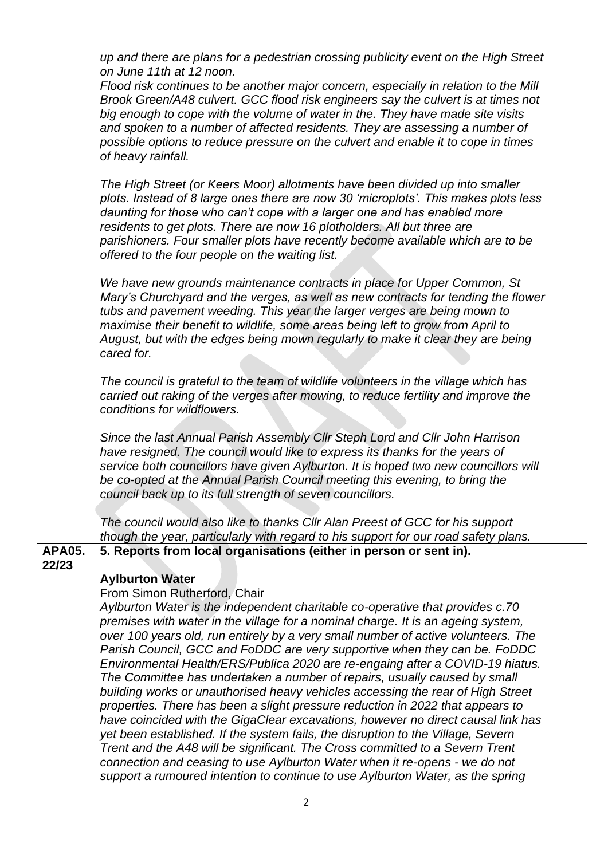|                        | up and there are plans for a pedestrian crossing publicity event on the High Street                                                                                                                                                                                                                                                                                                                                                                              |  |
|------------------------|------------------------------------------------------------------------------------------------------------------------------------------------------------------------------------------------------------------------------------------------------------------------------------------------------------------------------------------------------------------------------------------------------------------------------------------------------------------|--|
|                        | on June 11th at 12 noon.                                                                                                                                                                                                                                                                                                                                                                                                                                         |  |
|                        | Flood risk continues to be another major concern, especially in relation to the Mill<br>Brook Green/A48 culvert. GCC flood risk engineers say the culvert is at times not<br>big enough to cope with the volume of water in the. They have made site visits<br>and spoken to a number of affected residents. They are assessing a number of<br>possible options to reduce pressure on the culvert and enable it to cope in times<br>of heavy rainfall.           |  |
|                        | The High Street (or Keers Moor) allotments have been divided up into smaller<br>plots. Instead of 8 large ones there are now 30 'microplots'. This makes plots less<br>daunting for those who can't cope with a larger one and has enabled more<br>residents to get plots. There are now 16 plotholders. All but three are<br>parishioners. Four smaller plots have recently become available which are to be<br>offered to the four people on the waiting list. |  |
|                        | We have new grounds maintenance contracts in place for Upper Common, St.<br>Mary's Churchyard and the verges, as well as new contracts for tending the flower<br>tubs and pavement weeding. This year the larger verges are being mown to<br>maximise their benefit to wildlife, some areas being left to grow from April to<br>August, but with the edges being mown regularly to make it clear they are being<br>cared for.                                    |  |
|                        | The council is grateful to the team of wildlife volunteers in the village which has<br>carried out raking of the verges after mowing, to reduce fertility and improve the<br>conditions for wildflowers.                                                                                                                                                                                                                                                         |  |
|                        | Since the last Annual Parish Assembly Cllr Steph Lord and Cllr John Harrison<br>have resigned. The council would like to express its thanks for the years of<br>service both councillors have given Aylburton. It is hoped two new councillors will<br>be co-opted at the Annual Parish Council meeting this evening, to bring the<br>council back up to its full strength of seven councillors.                                                                 |  |
|                        | The council would also like to thanks CIIr Alan Preest of GCC for his support<br>though the year, particularly with regard to his support for our road safety plans.                                                                                                                                                                                                                                                                                             |  |
| <b>APA05.</b><br>22/23 | 5. Reports from local organisations (either in person or sent in).                                                                                                                                                                                                                                                                                                                                                                                               |  |
|                        | <b>Aylburton Water</b>                                                                                                                                                                                                                                                                                                                                                                                                                                           |  |
|                        | From Simon Rutherford, Chair                                                                                                                                                                                                                                                                                                                                                                                                                                     |  |
|                        | Aylburton Water is the independent charitable co-operative that provides c.70                                                                                                                                                                                                                                                                                                                                                                                    |  |
|                        | premises with water in the village for a nominal charge. It is an ageing system,                                                                                                                                                                                                                                                                                                                                                                                 |  |
|                        | over 100 years old, run entirely by a very small number of active volunteers. The<br>Parish Council, GCC and FoDDC are very supportive when they can be. FoDDC                                                                                                                                                                                                                                                                                                   |  |
|                        | Environmental Health/ERS/Publica 2020 are re-engaing after a COVID-19 hiatus.                                                                                                                                                                                                                                                                                                                                                                                    |  |
|                        | The Committee has undertaken a number of repairs, usually caused by small                                                                                                                                                                                                                                                                                                                                                                                        |  |
|                        | building works or unauthorised heavy vehicles accessing the rear of High Street                                                                                                                                                                                                                                                                                                                                                                                  |  |
|                        | properties. There has been a slight pressure reduction in 2022 that appears to                                                                                                                                                                                                                                                                                                                                                                                   |  |
|                        | have coincided with the GigaClear excavations, however no direct causal link has                                                                                                                                                                                                                                                                                                                                                                                 |  |
|                        | yet been established. If the system fails, the disruption to the Village, Severn<br>Trent and the A48 will be significant. The Cross committed to a Severn Trent                                                                                                                                                                                                                                                                                                 |  |
|                        | connection and ceasing to use Aylburton Water when it re-opens - we do not                                                                                                                                                                                                                                                                                                                                                                                       |  |
|                        | support a rumoured intention to continue to use Aylburton Water, as the spring                                                                                                                                                                                                                                                                                                                                                                                   |  |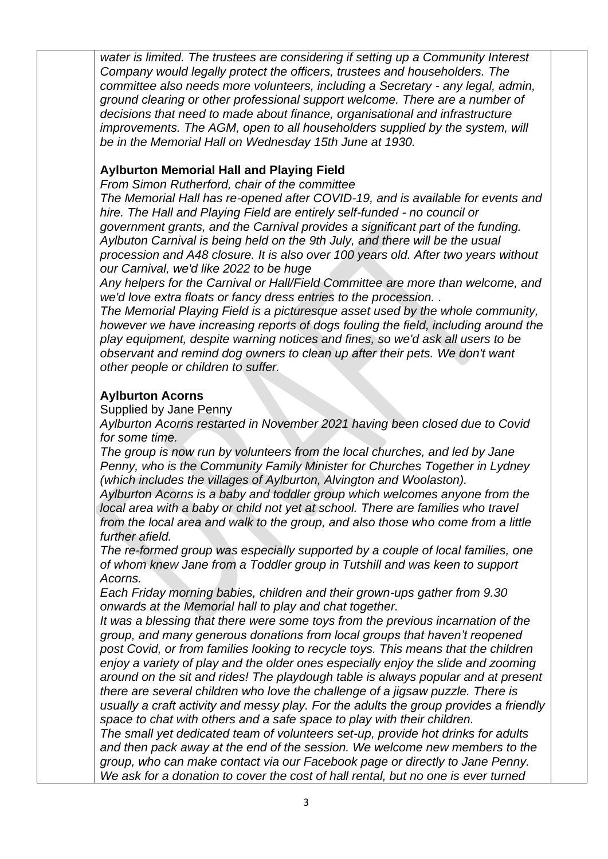*water is limited. The trustees are considering if setting up a Community Interest Company would legally protect the officers, trustees and householders. The committee also needs more volunteers, including a Secretary - any legal, admin, ground clearing or other professional support welcome. There are a number of decisions that need to made about finance, organisational and infrastructure improvements. The AGM, open to all householders supplied by the system, will be in the Memorial Hall on Wednesday 15th June at 1930.*

## **Aylburton Memorial Hall and Playing Field**

*From Simon Rutherford, chair of the committee*

*The Memorial Hall has re-opened after COVID-19, and is available for events and hire. The Hall and Playing Field are entirely self-funded - no council or government grants, and the Carnival provides a significant part of the funding. Aylbuton Carnival is being held on the 9th July, and there will be the usual procession and A48 closure. It is also over 100 years old. After two years without our Carnival, we'd like 2022 to be huge* 

*Any helpers for the Carnival or Hall/Field Committee are more than welcome, and we'd love extra floats or fancy dress entries to the procession. .*

*The Memorial Playing Field is a picturesque asset used by the whole community, however we have increasing reports of dogs fouling the field, including around the play equipment, despite warning notices and fines, so we'd ask all users to be observant and remind dog owners to clean up after their pets. We don't want other people or children to suffer.*

#### **Aylburton Acorns**

Supplied by Jane Penny

*Aylburton Acorns restarted in November 2021 having been closed due to Covid for some time.* 

*The group is now run by volunteers from the local churches, and led by Jane Penny, who is the Community Family Minister for Churches Together in Lydney (which includes the villages of Aylburton, Alvington and Woolaston).*

*Aylburton Acorns is a baby and toddler group which welcomes anyone from the local area with a baby or child not yet at school. There are families who travel from the local area and walk to the group, and also those who come from a little further afield.*

*The re-formed group was especially supported by a couple of local families, one of whom knew Jane from a Toddler group in Tutshill and was keen to support Acorns.*

*Each Friday morning babies, children and their grown-ups gather from 9.30 onwards at the Memorial hall to play and chat together.*

*It was a blessing that there were some toys from the previous incarnation of the group, and many generous donations from local groups that haven't reopened post Covid, or from families looking to recycle toys. This means that the children enjoy a variety of play and the older ones especially enjoy the slide and zooming around on the sit and rides! The playdough table is always popular and at present there are several children who love the challenge of a jigsaw puzzle. There is usually a craft activity and messy play. For the adults the group provides a friendly space to chat with others and a safe space to play with their children.* 

*The small yet dedicated team of volunteers set-up, provide hot drinks for adults and then pack away at the end of the session. We welcome new members to the group, who can make contact via our Facebook page or directly to Jane Penny. We ask for a donation to cover the cost of hall rental, but no one is ever turned*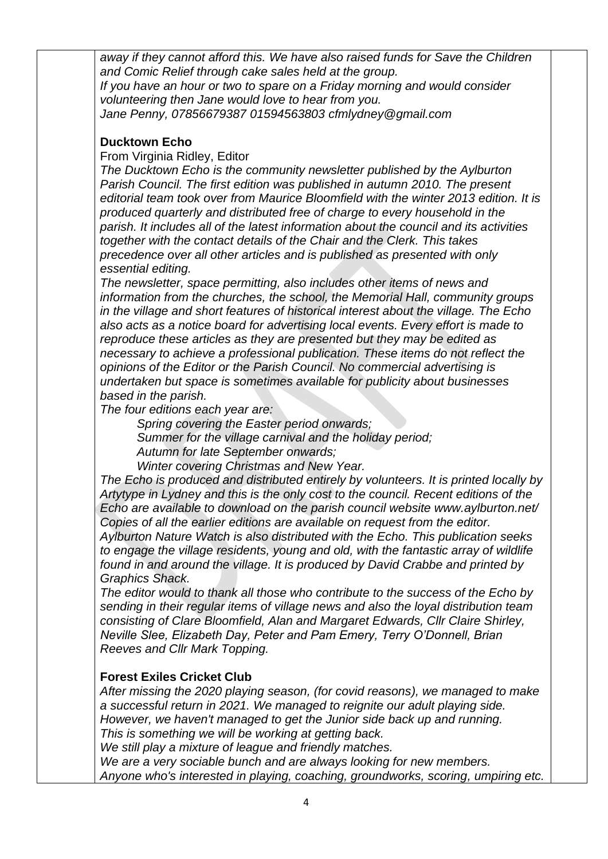*away if they cannot afford this. We have also raised funds for Save the Children and Comic Relief through cake sales held at the group. If you have an hour or two to spare on a Friday morning and would consider volunteering then Jane would love to hear from you. Jane Penny, 07856679387 01594563803 cfmlydney@gmail.com*

#### **Ducktown Echo**

#### From Virginia Ridley, Editor

*The Ducktown Echo is the community newsletter published by the Aylburton Parish Council. The first edition was published in autumn 2010. The present editorial team took over from Maurice Bloomfield with the winter 2013 edition. It is produced quarterly and distributed free of charge to every household in the parish. It includes all of the latest information about the council and its activities together with the contact details of the Chair and the Clerk. This takes precedence over all other articles and is published as presented with only essential editing.* 

*The newsletter, space permitting, also includes other items of news and information from the churches, the school, the Memorial Hall, community groups in the village and short features of historical interest about the village. The Echo also acts as a notice board for advertising local events. Every effort is made to reproduce these articles as they are presented but they may be edited as necessary to achieve a professional publication. These items do not reflect the opinions of the Editor or the Parish Council. No commercial advertising is undertaken but space is sometimes available for publicity about businesses based in the parish.* 

*The four editions each year are:*

*Spring covering the Easter period onwards; Summer for the village carnival and the holiday period; Autumn for late September onwards;*

*Winter covering Christmas and New Year.*

*The Echo is produced and distributed entirely by volunteers. It is printed locally by Artytype in Lydney and this is the only cost to the council. Recent editions of the Echo are available to download on the parish council website www.aylburton.net/ Copies of all the earlier editions are available on request from the editor.* 

*Aylburton Nature Watch is also distributed with the Echo. This publication seeks to engage the village residents, young and old, with the fantastic array of wildlife found in and around the village. It is produced by David Crabbe and printed by Graphics Shack.* 

*The editor would to thank all those who contribute to the success of the Echo by sending in their regular items of village news and also the loyal distribution team consisting of Clare Bloomfield, Alan and Margaret Edwards, Cllr Claire Shirley, Neville Slee, Elizabeth Day, Peter and Pam Emery, Terry O'Donnell, Brian Reeves and Cllr Mark Topping.*

## **Forest Exiles Cricket Club**

*After missing the 2020 playing season, (for covid reasons), we managed to make a successful return in 2021. We managed to reignite our adult playing side. However, we haven't managed to get the Junior side back up and running. This is something we will be working at getting back. We still play a mixture of league and friendly matches. We are a very sociable bunch and are always looking for new members. Anyone who's interested in playing, coaching, groundworks, scoring, umpiring etc.*